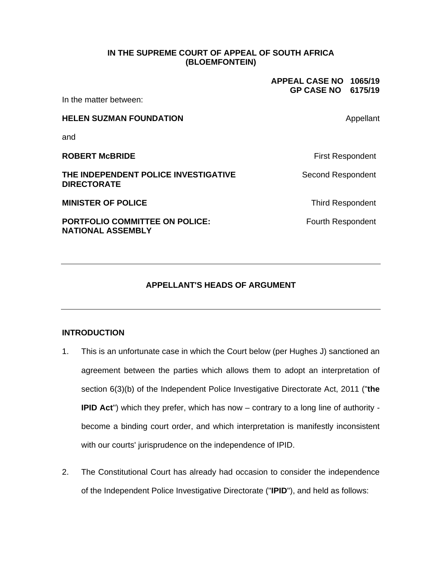#### **IN THE SUPREME COURT OF APPEAL OF SOUTH AFRICA (BLOEMFONTEIN)**

**APPEAL CASE NO 1065/19 GP CASE NO 6175/19**

In the matter between:

# **HELEN SUZMAN FOUNDATION Appellant** and **ROBERT McBRIDE First Respondent THE INDEPENDENT POLICE INVESTIGATIVE DIRECTORATE**  Second Respondent **MINISTER OF POLICE Third Respondent PORTFOLIO COMMITTEE ON POLICE: NATIONAL ASSEMBLY**  Fourth Respondent

## **APPELLANT'S HEADS OF ARGUMENT**

## **INTRODUCTION**

- 1. This is an unfortunate case in which the Court below (per Hughes J) sanctioned an agreement between the parties which allows them to adopt an interpretation of section 6(3)(b) of the Independent Police Investigative Directorate Act, 2011 ("**the IPID Act**") which they prefer, which has now – contrary to a long line of authority become a binding court order, and which interpretation is manifestly inconsistent with our courts' jurisprudence on the independence of IPID.
- 2. The Constitutional Court has already had occasion to consider the independence of the Independent Police Investigative Directorate ("**IPID**"), and held as follows: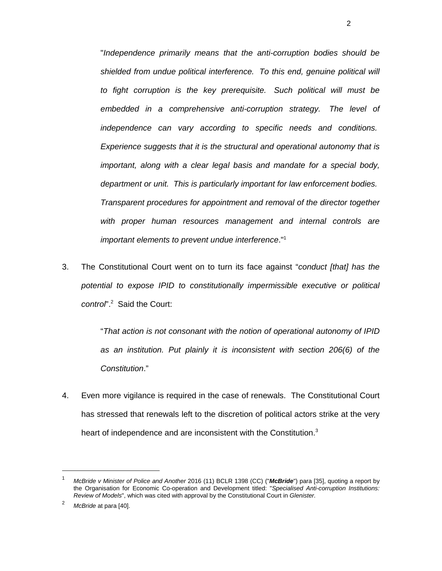"*Independence primarily means that the anti-corruption bodies should be shielded from undue political interference. To this end, genuine political will to fight corruption is the key prerequisite. Such political will must be embedded in a comprehensive anti-corruption strategy. The level of independence can vary according to specific needs and conditions. Experience suggests that it is the structural and operational autonomy that is important, along with a clear legal basis and mandate for a special body, department or unit. This is particularly important for law enforcement bodies. Transparent procedures for appointment and removal of the director together with proper human resources management and internal controls are important elements to prevent undue interference*."1

3. The Constitutional Court went on to turn its face against "*conduct [that] has the potential to expose IPID to constitutionally impermissible executive or political control*".2 Said the Court:

> "*That action is not consonant with the notion of operational autonomy of IPID as an institution. Put plainly it is inconsistent with section 206(6) of the Constitution*."

4. Even more vigilance is required in the case of renewals. The Constitutional Court has stressed that renewals left to the discretion of political actors strike at the very heart of independence and are inconsistent with the Constitution.<sup>3</sup>

<sup>1</sup> *McBride v Minister of Police and Another* 2016 (11) BCLR 1398 (CC) ("*McBride*") para [35], quoting a report by the Organisation for Economic Co-operation and Development titled: "*Specialised Anti-corruption Institutions: Review of Models*", which was cited with approval by the Constitutional Court in *Glenister.*

<sup>2</sup> *McBride* at para [40].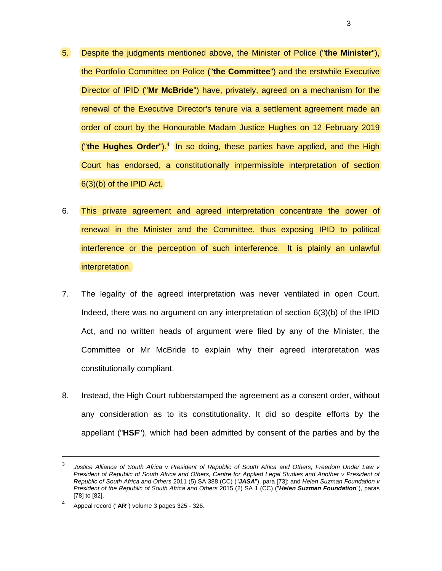- 5. Despite the judgments mentioned above, the Minister of Police ("**the Minister**"), the Portfolio Committee on Police ("**the Committee**") and the erstwhile Executive Director of IPID ("**Mr McBride**") have, privately, agreed on a mechanism for the renewal of the Executive Director's tenure via a settlement agreement made an order of court by the Honourable Madam Justice Hughes on 12 February 2019 ("the Hughes Order").<sup>4</sup> In so doing, these parties have applied, and the High Court has endorsed, a constitutionally impermissible interpretation of section 6(3)(b) of the IPID Act.
- 6. This private agreement and agreed interpretation concentrate the power of renewal in the Minister and the Committee, thus exposing IPID to political interference or the perception of such interference. It is plainly an unlawful interpretation.
- 7. The legality of the agreed interpretation was never ventilated in open Court. Indeed, there was no argument on any interpretation of section 6(3)(b) of the IPID Act, and no written heads of argument were filed by any of the Minister, the Committee or Mr McBride to explain why their agreed interpretation was constitutionally compliant.
- 8. Instead, the High Court rubberstamped the agreement as a consent order, without any consideration as to its constitutionality. It did so despite efforts by the appellant ("**HSF**"), which had been admitted by consent of the parties and by the

3

 $\overline{3}$  *Justice Alliance of South Africa v President of Republic of South Africa and Others, Freedom Under Law v*  President of Republic of South Africa and Others, Centre for Applied Legal Studies and Another v President of *Republic of South Africa and Others* 2011 (5) SA 388 (CC) ("*JASA*"), para [73]; and *Helen Suzman Foundation v President of the Republic of South Africa and Others* 2015 (2) SA 1 (CC) ("*Helen Suzman Foundation*"), paras [78] to [82].

<sup>4</sup> Appeal record ("**AR**") volume 3 pages 325 - 326.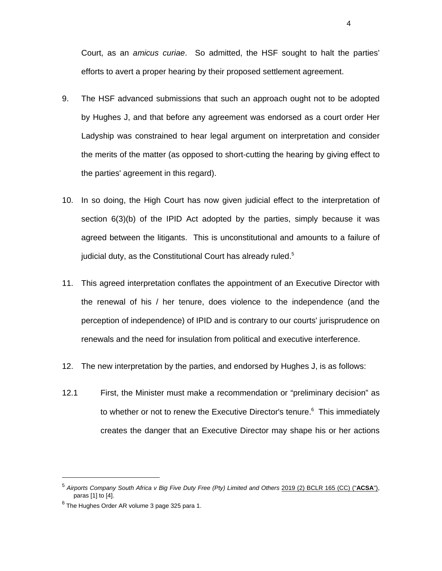Court, as an *amicus curiae*. So admitted, the HSF sought to halt the parties' efforts to avert a proper hearing by their proposed settlement agreement.

- 9. The HSF advanced submissions that such an approach ought not to be adopted by Hughes J, and that before any agreement was endorsed as a court order Her Ladyship was constrained to hear legal argument on interpretation and consider the merits of the matter (as opposed to short-cutting the hearing by giving effect to the parties' agreement in this regard).
- 10. In so doing, the High Court has now given judicial effect to the interpretation of section 6(3)(b) of the IPID Act adopted by the parties, simply because it was agreed between the litigants. This is unconstitutional and amounts to a failure of judicial duty, as the Constitutional Court has already ruled.<sup>5</sup>
- 11. This agreed interpretation conflates the appointment of an Executive Director with the renewal of his / her tenure, does violence to the independence (and the perception of independence) of IPID and is contrary to our courts' jurisprudence on renewals and the need for insulation from political and executive interference.
- 12. The new interpretation by the parties, and endorsed by Hughes J, is as follows:
- 12.1 First, the Minister must make a recommendation or "preliminary decision" as to whether or not to renew the Executive Director's tenure.<sup>6</sup> This immediately creates the danger that an Executive Director may shape his or her actions

 $\overline{a}$ 

4

<sup>5</sup> *Airports Company South Africa v Big Five Duty Free (Pty) Limited and Others* 2019 (2) BCLR 165 (CC) ("**ACSA**"), paras [1] to [4].

 $^6$  The Hughes Order AR volume 3 page 325 para 1.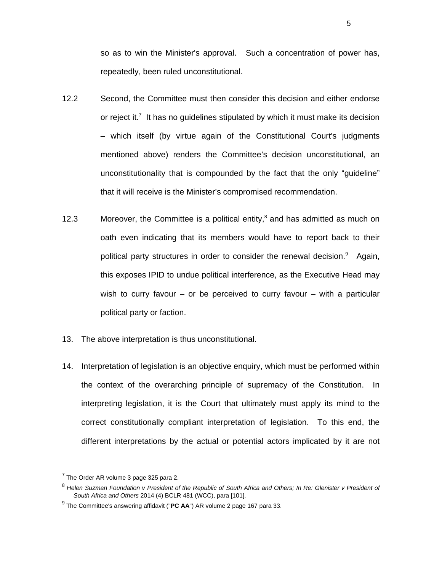so as to win the Minister's approval. Such a concentration of power has, repeatedly, been ruled unconstitutional.

- 12.2 Second, the Committee must then consider this decision and either endorse or reject it.<sup>7</sup> It has no guidelines stipulated by which it must make its decision – which itself (by virtue again of the Constitutional Court's judgments mentioned above) renders the Committee's decision unconstitutional, an unconstitutionality that is compounded by the fact that the only "guideline" that it will receive is the Minister's compromised recommendation.
- 12.3 Moreover, the Committee is a political entity, $^8$  and has admitted as much on oath even indicating that its members would have to report back to their political party structures in order to consider the renewal decision.<sup>9</sup> Again, this exposes IPID to undue political interference, as the Executive Head may wish to curry favour  $-$  or be perceived to curry favour  $-$  with a particular political party or faction.
- 13. The above interpretation is thus unconstitutional.
- 14. Interpretation of legislation is an objective enquiry, which must be performed within the context of the overarching principle of supremacy of the Constitution. In interpreting legislation, it is the Court that ultimately must apply its mind to the correct constitutionally compliant interpretation of legislation. To this end, the different interpretations by the actual or potential actors implicated by it are not

 $<sup>7</sup>$  The Order AR volume 3 page 325 para 2.</sup>

<sup>8</sup> *Helen Suzman Foundation v President of the Republic of South Africa and Others; In Re: Glenister v President of South Africa and Others* 2014 (4) BCLR 481 (WCC), para [101].

<sup>9</sup> The Committee's answering affidavit ("**PC AA**") AR volume 2 page 167 para 33.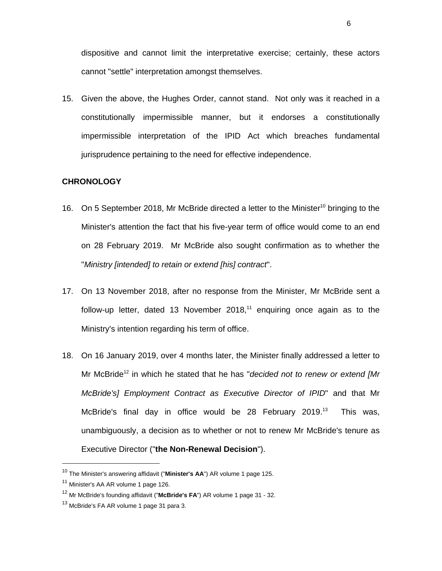dispositive and cannot limit the interpretative exercise; certainly, these actors cannot "settle" interpretation amongst themselves.

15. Given the above, the Hughes Order, cannot stand. Not only was it reached in a constitutionally impermissible manner, but it endorses a constitutionally impermissible interpretation of the IPID Act which breaches fundamental jurisprudence pertaining to the need for effective independence.

#### **CHRONOLOGY**

- 16. On 5 September 2018, Mr McBride directed a letter to the Minister<sup>10</sup> bringing to the Minister's attention the fact that his five-year term of office would come to an end on 28 February 2019. Mr McBride also sought confirmation as to whether the "*Ministry [intended] to retain or extend [his] contract*".
- 17. On 13 November 2018, after no response from the Minister, Mr McBride sent a follow-up letter, dated 13 November 2018, $11$  enquiring once again as to the Ministry's intention regarding his term of office.
- 18. On 16 January 2019, over 4 months later, the Minister finally addressed a letter to Mr McBride12 in which he stated that he has "*decided not to renew or extend [Mr McBride's] Employment Contract as Executive Director of IPID*" and that Mr McBride's final day in office would be 28 February 2019.<sup>13</sup> This was, unambiguously, a decision as to whether or not to renew Mr McBride's tenure as Executive Director ("**the Non-Renewal Decision**").

 $\overline{a}$ 

6

<sup>10</sup> The Minister's answering affidavit ("**Minister's AA**") AR volume 1 page 125.

<sup>&</sup>lt;sup>11</sup> Minister's AA AR volume 1 page 126.

<sup>12</sup> Mr McBride's founding affidavit ("**McBride's FA**") AR volume 1 page 31 - 32.

<sup>&</sup>lt;sup>13</sup> McBride's FA AR volume 1 page 31 para 3.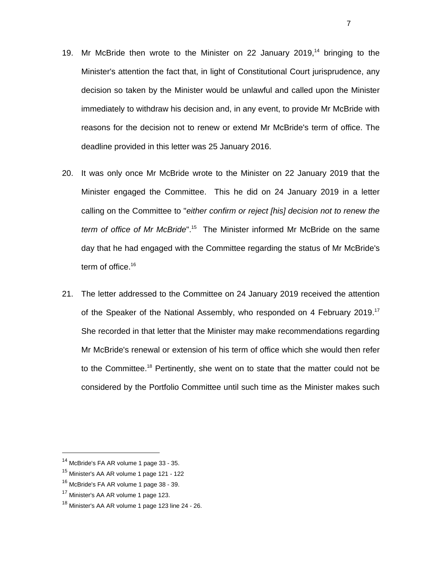- 19. Mr McBride then wrote to the Minister on 22 January 2019,<sup>14</sup> bringing to the Minister's attention the fact that, in light of Constitutional Court jurisprudence, any decision so taken by the Minister would be unlawful and called upon the Minister immediately to withdraw his decision and, in any event, to provide Mr McBride with reasons for the decision not to renew or extend Mr McBride's term of office. The deadline provided in this letter was 25 January 2016.
- 20. It was only once Mr McBride wrote to the Minister on 22 January 2019 that the Minister engaged the Committee. This he did on 24 January 2019 in a letter calling on the Committee to "*either confirm or reject [his] decision not to renew the term of office of Mr McBride*".15 The Minister informed Mr McBride on the same day that he had engaged with the Committee regarding the status of Mr McBride's term of office.<sup>16</sup>
- 21. The letter addressed to the Committee on 24 January 2019 received the attention of the Speaker of the National Assembly, who responded on 4 February 2019.<sup>17</sup> She recorded in that letter that the Minister may make recommendations regarding Mr McBride's renewal or extension of his term of office which she would then refer to the Committee.<sup>18</sup> Pertinently, she went on to state that the matter could not be considered by the Portfolio Committee until such time as the Minister makes such

 $\overline{a}$ 

7

<sup>&</sup>lt;sup>14</sup> McBride's FA AR volume 1 page 33 - 35.

<sup>15</sup> Minister's AA AR volume 1 page 121 - 122

<sup>&</sup>lt;sup>16</sup> McBride's FA AR volume 1 page 38 - 39.

<sup>&</sup>lt;sup>17</sup> Minister's AA AR volume 1 page 123.

 $18$  Minister's AA AR volume 1 page 123 line 24 - 26.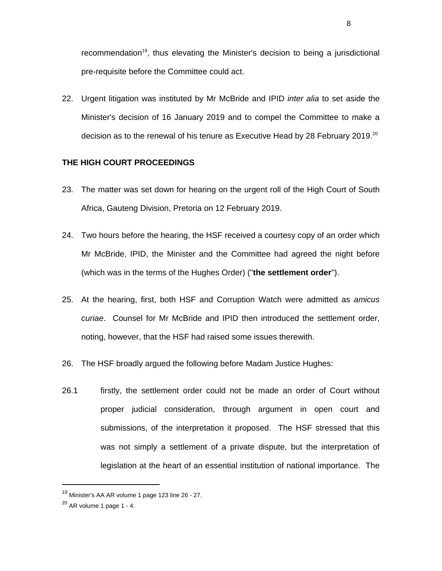recommendation<sup>19</sup>, thus elevating the Minister's decision to being a jurisdictional pre-requisite before the Committee could act.

22. Urgent litigation was instituted by Mr McBride and IPID *inter alia* to set aside the Minister's decision of 16 January 2019 and to compel the Committee to make a decision as to the renewal of his tenure as Executive Head by 28 February 2019.<sup>20</sup>

### **THE HIGH COURT PROCEEDINGS**

- 23. The matter was set down for hearing on the urgent roll of the High Court of South Africa, Gauteng Division, Pretoria on 12 February 2019.
- 24. Two hours before the hearing, the HSF received a courtesy copy of an order which Mr McBride, IPID, the Minister and the Committee had agreed the night before (which was in the terms of the Hughes Order) ("**the settlement order**").
- 25. At the hearing, first, both HSF and Corruption Watch were admitted as *amicus curiae*. Counsel for Mr McBride and IPID then introduced the settlement order, noting, however, that the HSF had raised some issues therewith.
- 26. The HSF broadly argued the following before Madam Justice Hughes:
- 26.1 firstly, the settlement order could not be made an order of Court without proper judicial consideration, through argument in open court and submissions, of the interpretation it proposed. The HSF stressed that this was not simply a settlement of a private dispute, but the interpretation of legislation at the heart of an essential institution of national importance. The

<sup>19</sup> Minister's AA AR volume 1 page 123 line 26 - 27.

 $20$  AR volume 1 page 1 - 4.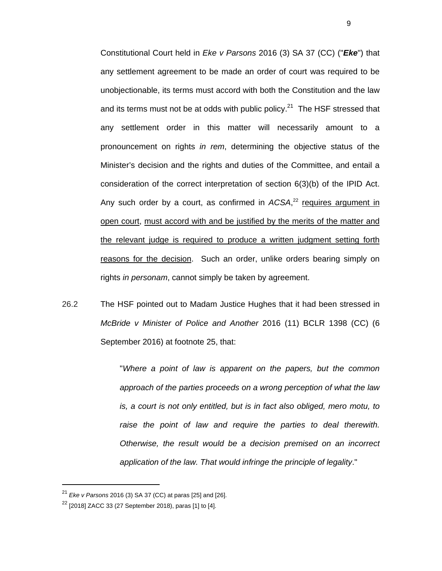Constitutional Court held in *Eke v Parsons* 2016 (3) SA 37 (CC) ("*Eke*") that any settlement agreement to be made an order of court was required to be unobjectionable, its terms must accord with both the Constitution and the law and its terms must not be at odds with public policy.<sup>21</sup> The HSF stressed that any settlement order in this matter will necessarily amount to a pronouncement on rights *in rem*, determining the objective status of the Minister's decision and the rights and duties of the Committee, and entail a consideration of the correct interpretation of section 6(3)(b) of the IPID Act. Any such order by a court, as confirmed in ACSA,<sup>22</sup> requires argument in open court, must accord with and be justified by the merits of the matter and the relevant judge is required to produce a written judgment setting forth reasons for the decision. Such an order, unlike orders bearing simply on rights *in personam*, cannot simply be taken by agreement.

26.2 The HSF pointed out to Madam Justice Hughes that it had been stressed in *McBride v Minister of Police and Another* 2016 (11) BCLR 1398 (CC) (6 September 2016) at footnote 25, that:

> "*Where a point of law is apparent on the papers, but the common approach of the parties proceeds on a wrong perception of what the law is, a court is not only entitled, but is in fact also obliged, mero motu, to raise the point of law and require the parties to deal therewith. Otherwise, the result would be a decision premised on an incorrect application of the law. That would infringe the principle of legality*."

<sup>21</sup> *Eke v Parsons* 2016 (3) SA 37 (CC) at paras [25] and [26].

 $22$  [2018] ZACC 33 (27 September 2018), paras [1] to [4].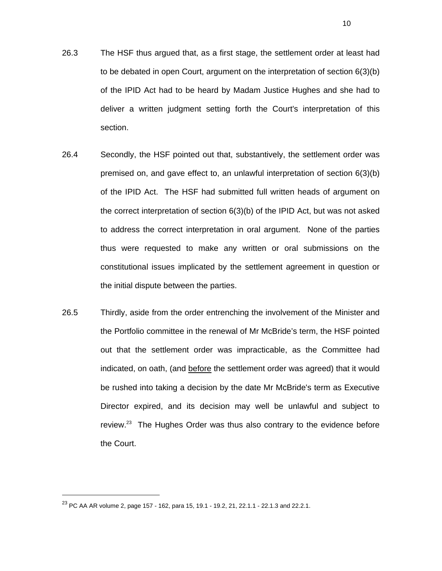- 26.3 The HSF thus argued that, as a first stage, the settlement order at least had to be debated in open Court, argument on the interpretation of section 6(3)(b) of the IPID Act had to be heard by Madam Justice Hughes and she had to deliver a written judgment setting forth the Court's interpretation of this section.
- 26.4 Secondly, the HSF pointed out that, substantively, the settlement order was premised on, and gave effect to, an unlawful interpretation of section 6(3)(b) of the IPID Act. The HSF had submitted full written heads of argument on the correct interpretation of section 6(3)(b) of the IPID Act, but was not asked to address the correct interpretation in oral argument. None of the parties thus were requested to make any written or oral submissions on the constitutional issues implicated by the settlement agreement in question or the initial dispute between the parties.
- 26.5 Thirdly, aside from the order entrenching the involvement of the Minister and the Portfolio committee in the renewal of Mr McBride's term, the HSF pointed out that the settlement order was impracticable, as the Committee had indicated, on oath, (and before the settlement order was agreed) that it would be rushed into taking a decision by the date Mr McBride's term as Executive Director expired, and its decision may well be unlawful and subject to review.<sup>23</sup> The Hughes Order was thus also contrary to the evidence before the Court.

 $^{23}$  PC AA AR volume 2, page 157 - 162, para 15, 19.1 - 19.2, 21, 22.1.1 - 22.1.3 and 22.2.1.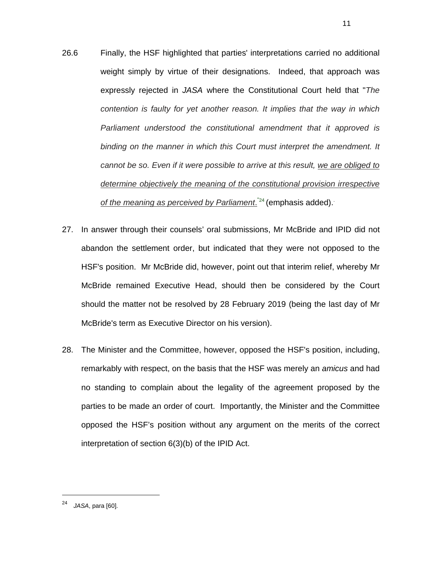- 26.6 Finally, the HSF highlighted that parties' interpretations carried no additional weight simply by virtue of their designations. Indeed, that approach was expressly rejected in *JASA* where the Constitutional Court held that "*The contention is faulty for yet another reason. It implies that the way in which Parliament understood the constitutional amendment that it approved is binding on the manner in which this Court must interpret the amendment. It cannot be so. Even if it were possible to arrive at this result, we are obliged to determine objectively the meaning of the constitutional provision irrespective*  of the meaning as perceived by Parliament.<sup>"24</sup> (emphasis added).
- 27. In answer through their counsels' oral submissions, Mr McBride and IPID did not abandon the settlement order, but indicated that they were not opposed to the HSF's position. Mr McBride did, however, point out that interim relief, whereby Mr McBride remained Executive Head, should then be considered by the Court should the matter not be resolved by 28 February 2019 (being the last day of Mr McBride's term as Executive Director on his version).
- 28. The Minister and the Committee, however, opposed the HSF's position, including, remarkably with respect, on the basis that the HSF was merely an *amicus* and had no standing to complain about the legality of the agreement proposed by the parties to be made an order of court. Importantly, the Minister and the Committee opposed the HSF's position without any argument on the merits of the correct interpretation of section 6(3)(b) of the IPID Act.

<sup>24</sup> *JASA*, para [60].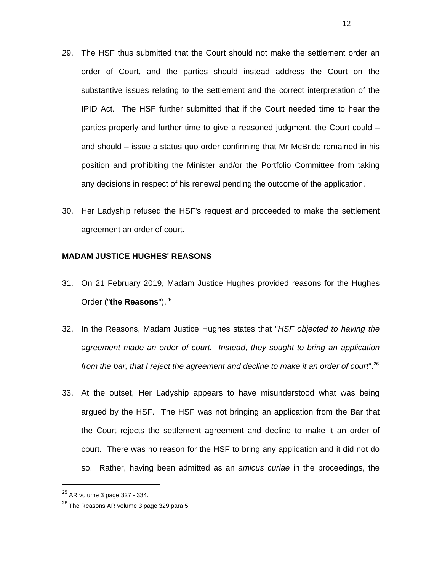- 29. The HSF thus submitted that the Court should not make the settlement order an order of Court, and the parties should instead address the Court on the substantive issues relating to the settlement and the correct interpretation of the IPID Act. The HSF further submitted that if the Court needed time to hear the parties properly and further time to give a reasoned judgment, the Court could – and should – issue a status quo order confirming that Mr McBride remained in his position and prohibiting the Minister and/or the Portfolio Committee from taking any decisions in respect of his renewal pending the outcome of the application.
- 30. Her Ladyship refused the HSF's request and proceeded to make the settlement agreement an order of court.

#### **MADAM JUSTICE HUGHES' REASONS**

- 31. On 21 February 2019, Madam Justice Hughes provided reasons for the Hughes Order ("the Reasons").<sup>25</sup>
- 32. In the Reasons, Madam Justice Hughes states that "*HSF objected to having the agreement made an order of court. Instead, they sought to bring an application from the bar, that I reject the agreement and decline to make it an order of court*".26
- 33. At the outset, Her Ladyship appears to have misunderstood what was being argued by the HSF. The HSF was not bringing an application from the Bar that the Court rejects the settlement agreement and decline to make it an order of court. There was no reason for the HSF to bring any application and it did not do so. Rather, having been admitted as an *amicus curiae* in the proceedings, the

<sup>25</sup> AR volume 3 page 327 - 334.

 $^{26}$  The Reasons AR volume 3 page 329 para 5.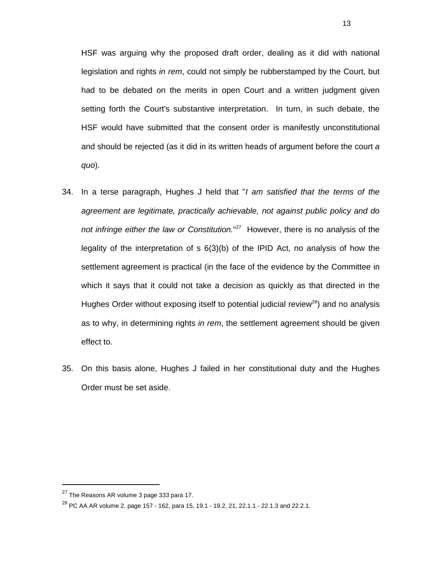HSF was arguing why the proposed draft order, dealing as it did with national legislation and rights *in rem*, could not simply be rubberstamped by the Court, but had to be debated on the merits in open Court and a written judgment given setting forth the Court's substantive interpretation. In turn, in such debate, the HSF would have submitted that the consent order is manifestly unconstitutional and should be rejected (as it did in its written heads of argument before the court *a quo*).

- 34. In a terse paragraph, Hughes J held that "*I am satisfied that the terms of the agreement are legitimate, practically achievable, not against public policy and do not infringe either the law or Constitution.*" 27 However, there is no analysis of the legality of the interpretation of s 6(3)(b) of the IPID Act, no analysis of how the settlement agreement is practical (in the face of the evidence by the Committee in which it says that it could not take a decision as quickly as that directed in the Hughes Order without exposing itself to potential judicial review<sup>28</sup>) and no analysis as to why, in determining rights *in rem*, the settlement agreement should be given effect to.
- 35. On this basis alone, Hughes J failed in her constitutional duty and the Hughes Order must be set aside.

 $27$  The Reasons AR volume 3 page 333 para 17.

 $^{28}$  PC AA AR volume 2, page 157 - 162, para 15, 19.1 - 19.2, 21, 22.1.1 - 22.1.3 and 22.2.1.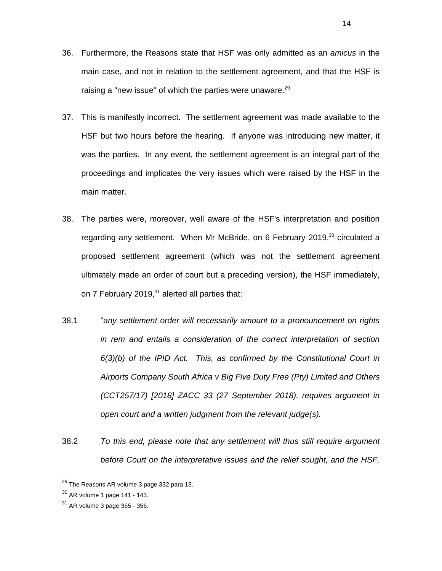- 36. Furthermore, the Reasons state that HSF was only admitted as an *amicus* in the main case, and not in relation to the settlement agreement, and that the HSF is raising a "new issue" of which the parties were unaware.<sup>29</sup>
- 37. This is manifestly incorrect. The settlement agreement was made available to the HSF but two hours before the hearing. If anyone was introducing new matter, it was the parties. In any event, the settlement agreement is an integral part of the proceedings and implicates the very issues which were raised by the HSF in the main matter.
- 38. The parties were, moreover, well aware of the HSF's interpretation and position regarding any settlement. When Mr McBride, on 6 February 2019,<sup>30</sup> circulated a proposed settlement agreement (which was not the settlement agreement ultimately made an order of court but a preceding version), the HSF immediately, on 7 February 2019, $31$  alerted all parties that:
- 38.1 "*any settlement order will necessarily amount to a pronouncement on rights in rem and entails a consideration of the correct interpretation of section 6(3)(b) of the IPID Act. This, as confirmed by the Constitutional Court in Airports Company South Africa v Big Five Duty Free (Pty) Limited and Others (CCT257/17) [2018] ZACC 33 (27 September 2018), requires argument in open court and a written judgment from the relevant judge(s).*
- 38.2 *To this end, please note that any settlement will thus still require argument before Court on the interpretative issues and the relief sought, and the HSF,*

14

 $29$  The Reasons AR volume 3 page 332 para 13.

 $30$  AR volume 1 page 141 - 143.

 $31$  AR volume 3 page 355 - 356.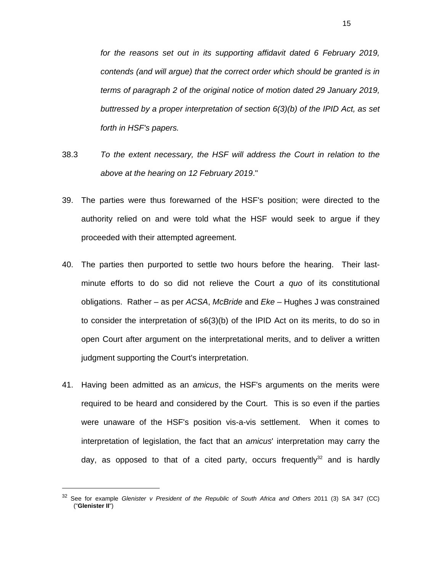*for the reasons set out in its supporting affidavit dated 6 February 2019, contends (and will argue) that the correct order which should be granted is in terms of paragraph 2 of the original notice of motion dated 29 January 2019, buttressed by a proper interpretation of section 6(3)(b) of the IPID Act, as set forth in HSF's papers.* 

- 38.3 *To the extent necessary, the HSF will address the Court in relation to the above at the hearing on 12 February 2019*."
- 39. The parties were thus forewarned of the HSF's position; were directed to the authority relied on and were told what the HSF would seek to argue if they proceeded with their attempted agreement.
- 40. The parties then purported to settle two hours before the hearing. Their lastminute efforts to do so did not relieve the Court *a quo* of its constitutional obligations. Rather – as per *ACSA*, *McBride* and *Eke* – Hughes J was constrained to consider the interpretation of s6(3)(b) of the IPID Act on its merits, to do so in open Court after argument on the interpretational merits, and to deliver a written judgment supporting the Court's interpretation.
- 41. Having been admitted as an *amicus*, the HSF's arguments on the merits were required to be heard and considered by the Court. This is so even if the parties were unaware of the HSF's position vis-a-vis settlement. When it comes to interpretation of legislation, the fact that an *amicus*' interpretation may carry the day, as opposed to that of a cited party, occurs frequently $32$  and is hardly

<sup>32</sup> See for example *Glenister v President of the Republic of South Africa and Others* 2011 (3) SA 347 (CC) ("**Glenister II**")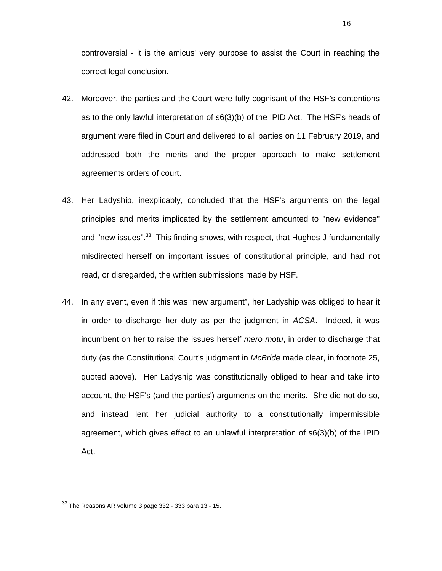controversial - it is the amicus' very purpose to assist the Court in reaching the correct legal conclusion.

- 42. Moreover, the parties and the Court were fully cognisant of the HSF's contentions as to the only lawful interpretation of s6(3)(b) of the IPID Act. The HSF's heads of argument were filed in Court and delivered to all parties on 11 February 2019, and addressed both the merits and the proper approach to make settlement agreements orders of court.
- 43. Her Ladyship, inexplicably, concluded that the HSF's arguments on the legal principles and merits implicated by the settlement amounted to "new evidence" and "new issues".<sup>33</sup> This finding shows, with respect, that Hughes J fundamentally misdirected herself on important issues of constitutional principle, and had not read, or disregarded, the written submissions made by HSF.
- 44. In any event, even if this was "new argument", her Ladyship was obliged to hear it in order to discharge her duty as per the judgment in *ACSA*. Indeed, it was incumbent on her to raise the issues herself *mero motu*, in order to discharge that duty (as the Constitutional Court's judgment in *McBride* made clear, in footnote 25, quoted above). Her Ladyship was constitutionally obliged to hear and take into account, the HSF's (and the parties') arguments on the merits. She did not do so, and instead lent her judicial authority to a constitutionally impermissible agreement, which gives effect to an unlawful interpretation of s6(3)(b) of the IPID Act.

 $\overline{a}$ 

16

 $33$  The Reasons AR volume 3 page  $332$  -  $333$  para  $13$  -  $15$ .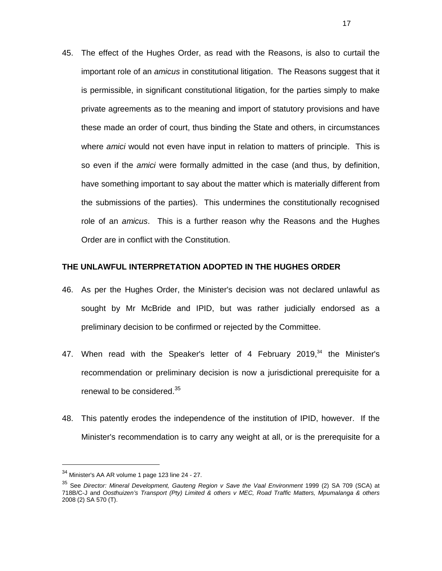45. The effect of the Hughes Order, as read with the Reasons, is also to curtail the important role of an *amicus* in constitutional litigation. The Reasons suggest that it is permissible, in significant constitutional litigation, for the parties simply to make private agreements as to the meaning and import of statutory provisions and have these made an order of court, thus binding the State and others, in circumstances where *amici* would not even have input in relation to matters of principle. This is so even if the *amici* were formally admitted in the case (and thus, by definition, have something important to say about the matter which is materially different from the submissions of the parties). This undermines the constitutionally recognised role of an *amicus*. This is a further reason why the Reasons and the Hughes Order are in conflict with the Constitution.

#### **THE UNLAWFUL INTERPRETATION ADOPTED IN THE HUGHES ORDER**

- 46. As per the Hughes Order, the Minister's decision was not declared unlawful as sought by Mr McBride and IPID, but was rather judicially endorsed as a preliminary decision to be confirmed or rejected by the Committee.
- 47. When read with the Speaker's letter of 4 February 2019, $34$  the Minister's recommendation or preliminary decision is now a jurisdictional prerequisite for a renewal to be considered.<sup>35</sup>
- 48. This patently erodes the independence of the institution of IPID, however. If the Minister's recommendation is to carry any weight at all, or is the prerequisite for a

<sup>34</sup> Minister's AA AR volume 1 page 123 line 24 - 27.

<sup>35</sup> See *Director: Mineral Development, Gauteng Region v Save the Vaal Environment* 1999 (2) SA 709 (SCA) at 718B/C-J and *Oosthuizen's Transport (Pty) Limited & others v MEC, Road Traffic Matters, Mpumalanga & others* 2008 (2) SA 570 (T).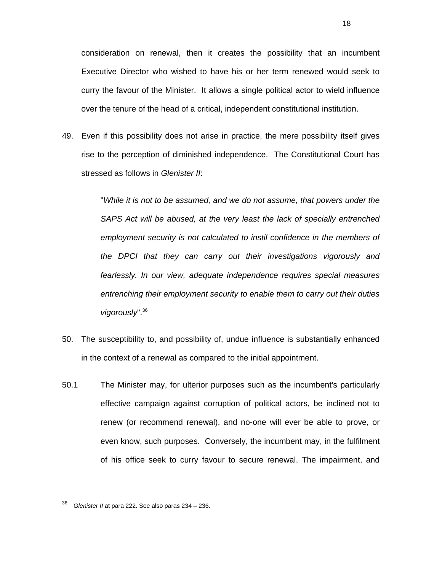consideration on renewal, then it creates the possibility that an incumbent Executive Director who wished to have his or her term renewed would seek to curry the favour of the Minister. It allows a single political actor to wield influence over the tenure of the head of a critical, independent constitutional institution.

49. Even if this possibility does not arise in practice, the mere possibility itself gives rise to the perception of diminished independence. The Constitutional Court has stressed as follows in *Glenister II*:

> "*While it is not to be assumed, and we do not assume, that powers under the SAPS Act will be abused, at the very least the lack of specially entrenched employment security is not calculated to instil confidence in the members of the DPCI that they can carry out their investigations vigorously and fearlessly. In our view, adequate independence requires special measures entrenching their employment security to enable them to carry out their duties vigorously*".36

- 50. The susceptibility to, and possibility of, undue influence is substantially enhanced in the context of a renewal as compared to the initial appointment.
- 50.1 The Minister may, for ulterior purposes such as the incumbent's particularly effective campaign against corruption of political actors, be inclined not to renew (or recommend renewal), and no-one will ever be able to prove, or even know, such purposes. Conversely, the incumbent may, in the fulfilment of his office seek to curry favour to secure renewal. The impairment, and

<sup>36</sup> *Glenister II* at para 222. See also paras 234 – 236.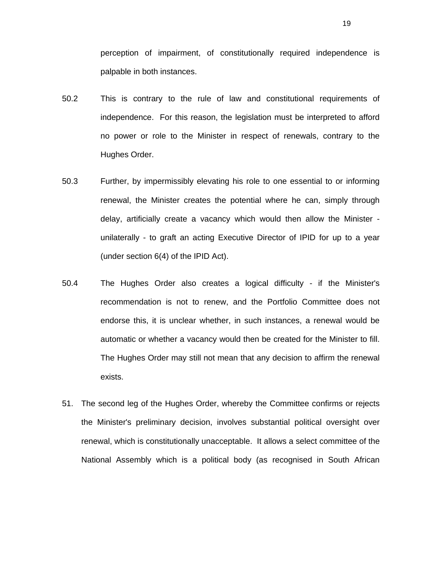perception of impairment, of constitutionally required independence is palpable in both instances.

- 50.2 This is contrary to the rule of law and constitutional requirements of independence. For this reason, the legislation must be interpreted to afford no power or role to the Minister in respect of renewals, contrary to the Hughes Order.
- 50.3 Further, by impermissibly elevating his role to one essential to or informing renewal, the Minister creates the potential where he can, simply through delay, artificially create a vacancy which would then allow the Minister unilaterally - to graft an acting Executive Director of IPID for up to a year (under section 6(4) of the IPID Act).
- 50.4 The Hughes Order also creates a logical difficulty if the Minister's recommendation is not to renew, and the Portfolio Committee does not endorse this, it is unclear whether, in such instances, a renewal would be automatic or whether a vacancy would then be created for the Minister to fill. The Hughes Order may still not mean that any decision to affirm the renewal exists.
- 51. The second leg of the Hughes Order, whereby the Committee confirms or rejects the Minister's preliminary decision, involves substantial political oversight over renewal, which is constitutionally unacceptable. It allows a select committee of the National Assembly which is a political body (as recognised in South African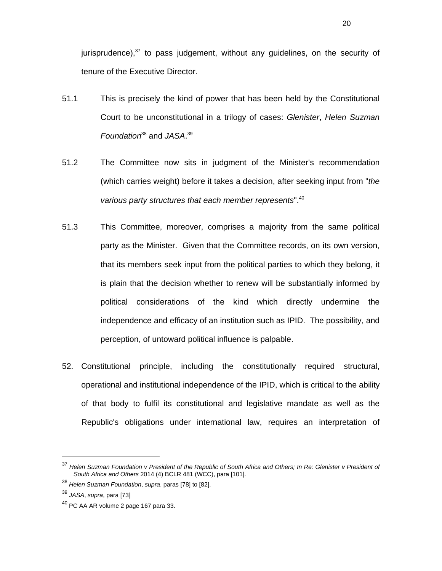jurisprudence), $37$  to pass judgement, without any guidelines, on the security of tenure of the Executive Director.

- 51.1 This is precisely the kind of power that has been held by the Constitutional Court to be unconstitutional in a trilogy of cases: *Glenister*, *Helen Suzman Foundation*38 and *JASA*. 39
- 51.2 The Committee now sits in judgment of the Minister's recommendation (which carries weight) before it takes a decision, after seeking input from "*the various party structures that each member represents*".40
- 51.3 This Committee, moreover, comprises a majority from the same political party as the Minister. Given that the Committee records, on its own version, that its members seek input from the political parties to which they belong, it is plain that the decision whether to renew will be substantially informed by political considerations of the kind which directly undermine the independence and efficacy of an institution such as IPID. The possibility, and perception, of untoward political influence is palpable.
- 52. Constitutional principle, including the constitutionally required structural, operational and institutional independence of the IPID, which is critical to the ability of that body to fulfil its constitutional and legislative mandate as well as the Republic's obligations under international law, requires an interpretation of

<sup>37</sup> *Helen Suzman Foundation v President of the Republic of South Africa and Others; In Re: Glenister v President of South Africa and Others* 2014 (4) BCLR 481 (WCC), para [101].

<sup>38</sup> *Helen Suzman Foundation*, *supra*, paras [78] to [82].

<sup>39</sup> *JASA*, *supra*, para [73]

 $40$  PC AA AR volume 2 page 167 para 33.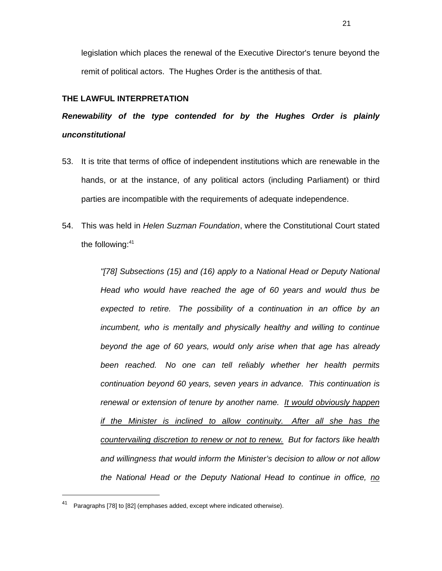legislation which places the renewal of the Executive Director's tenure beyond the remit of political actors. The Hughes Order is the antithesis of that.

### **THE LAWFUL INTERPRETATION**

## *Renewability of the type contended for by the Hughes Order is plainly unconstitutional*

- 53. It is trite that terms of office of independent institutions which are renewable in the hands, or at the instance, of any political actors (including Parliament) or third parties are incompatible with the requirements of adequate independence.
- 54. This was held in *Helen Suzman Foundation*, where the Constitutional Court stated the following:<sup>41</sup>

*"[78] Subsections (15) and (16) apply to a National Head or Deputy National Head who would have reached the age of 60 years and would thus be expected to retire. The possibility of a continuation in an office by an incumbent, who is mentally and physically healthy and willing to continue beyond the age of 60 years, would only arise when that age has already been reached. No one can tell reliably whether her health permits continuation beyond 60 years, seven years in advance. This continuation is renewal or extension of tenure by another name. It would obviously happen if the Minister is inclined to allow continuity. After all she has the countervailing discretion to renew or not to renew. But for factors like health and willingness that would inform the Minister's decision to allow or not allow the National Head or the Deputy National Head to continue in office, no* 

<sup>41</sup> Paragraphs [78] to [82] (emphases added, except where indicated otherwise).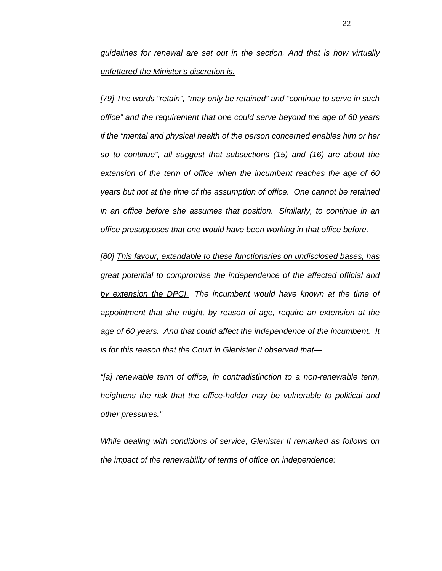*guidelines for renewal are set out in the section. And that is how virtually unfettered the Minister's discretion is.* 

*[79] The words "retain", "may only be retained" and "continue to serve in such office" and the requirement that one could serve beyond the age of 60 years if the "mental and physical health of the person concerned enables him or her so to continue", all suggest that subsections (15) and (16) are about the extension of the term of office when the incumbent reaches the age of 60 years but not at the time of the assumption of office. One cannot be retained in an office before she assumes that position. Similarly, to continue in an office presupposes that one would have been working in that office before.* 

*[80] This favour, extendable to these functionaries on undisclosed bases, has great potential to compromise the independence of the affected official and by extension the DPCI. The incumbent would have known at the time of appointment that she might, by reason of age, require an extension at the age of 60 years. And that could affect the independence of the incumbent. It is for this reason that the Court in Glenister II observed that—* 

*"[a] renewable term of office, in contradistinction to a non-renewable term, heightens the risk that the office-holder may be vulnerable to political and other pressures."* 

*While dealing with conditions of service, Glenister II remarked as follows on the impact of the renewability of terms of office on independence:*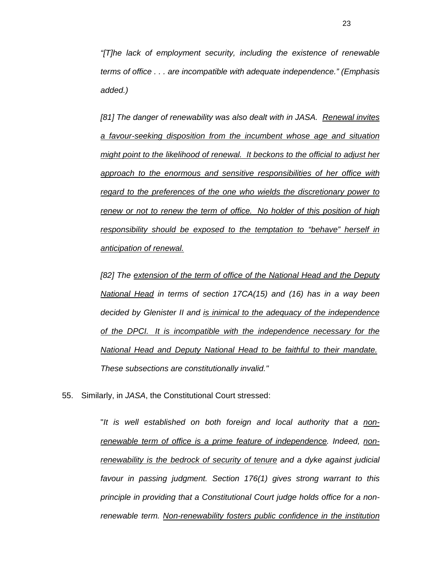*"[T]he lack of employment security, including the existence of renewable terms of office . . . are incompatible with adequate independence." (Emphasis added.)* 

*[81] The danger of renewability was also dealt with in JASA. Renewal invites a favour-seeking disposition from the incumbent whose age and situation might point to the likelihood of renewal. It beckons to the official to adjust her approach to the enormous and sensitive responsibilities of her office with regard to the preferences of the one who wields the discretionary power to renew or not to renew the term of office. No holder of this position of high responsibility should be exposed to the temptation to "behave" herself in anticipation of renewal.* 

*[82] The extension of the term of office of the National Head and the Deputy National Head in terms of section 17CA(15) and (16) has in a way been decided by Glenister II and is inimical to the adequacy of the independence of the DPCI. It is incompatible with the independence necessary for the National Head and Deputy National Head to be faithful to their mandate. These subsections are constitutionally invalid."* 

55. Similarly, in *JASA*, the Constitutional Court stressed:

"*It is well established on both foreign and local authority that a nonrenewable term of office is a prime feature of independence. Indeed, nonrenewability is the bedrock of security of tenure and a dyke against judicial favour in passing judgment. Section 176(1) gives strong warrant to this principle in providing that a Constitutional Court judge holds office for a nonrenewable term. Non-renewability fosters public confidence in the institution*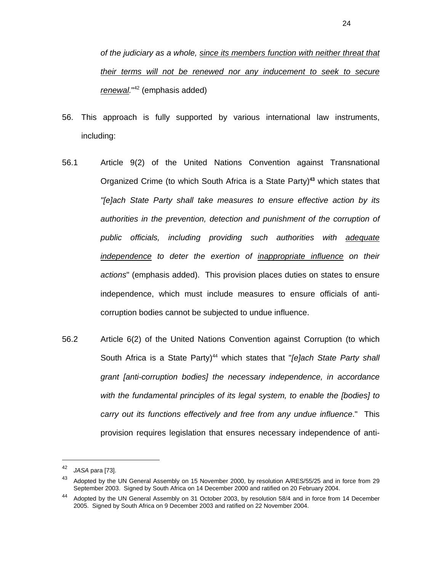*of the judiciary as a whole, since its members function with neither threat that their terms will not be renewed nor any inducement to seek to secure renewal.*" 42 (emphasis added)

- 56. This approach is fully supported by various international law instruments, including:
- 56.1 Article 9(2) of the United Nations Convention against Transnational Organized Crime (to which South Africa is a State Party)**<sup>43</sup>** which states that *"[e]ach State Party shall take measures to ensure effective action by its authorities in the prevention, detection and punishment of the corruption of public officials, including providing such authorities with adequate independence to deter the exertion of inappropriate influence on their actions*" (emphasis added). This provision places duties on states to ensure independence, which must include measures to ensure officials of anticorruption bodies cannot be subjected to undue influence.
- 56.2 Article 6(2) of the United Nations Convention against Corruption (to which South Africa is a State Party)<sup>44</sup> which states that "*[e]ach State Party shall grant [anti-corruption bodies] the necessary independence, in accordance with the fundamental principles of its legal system, to enable the [bodies] to carry out its functions effectively and free from any undue influence*." This provision requires legislation that ensures necessary independence of anti-

<sup>42</sup> *JASA* para [73].

<sup>43</sup> Adopted by the UN General Assembly on 15 November 2000, by resolution A/RES/55/25 and in force from 29 September 2003. Signed by South Africa on 14 December 2000 and ratified on 20 February 2004.

<sup>44</sup> Adopted by the UN General Assembly on 31 October 2003, by resolution 58/4 and in force from 14 December 2005. Signed by South Africa on 9 December 2003 and ratified on 22 November 2004.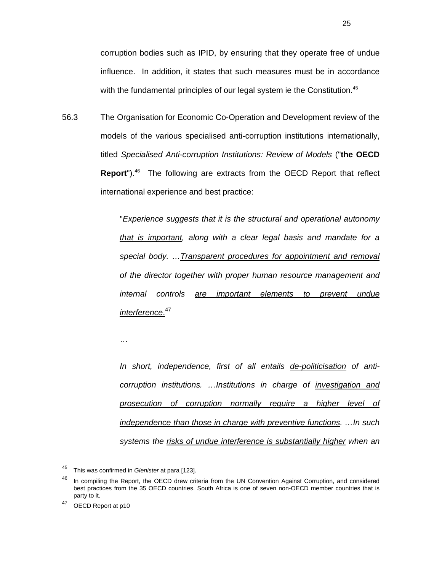corruption bodies such as IPID, by ensuring that they operate free of undue influence. In addition, it states that such measures must be in accordance with the fundamental principles of our legal system ie the Constitution.<sup>45</sup>

56.3 The Organisation for Economic Co-Operation and Development review of the models of the various specialised anti-corruption institutions internationally, titled *Specialised Anti-corruption Institutions: Review of Models* ("**the OECD Report**").<sup>46</sup> The following are extracts from the OECD Report that reflect international experience and best practice:

> "*Experience suggests that it is the structural and operational autonomy that is important, along with a clear legal basis and mandate for a special body. …Transparent procedures for appointment and removal of the director together with proper human resource management and internal controls are important elements to prevent undue interference*. 47

…

*In short, independence, first of all entails de-politicisation of anticorruption institutions. …Institutions in charge of investigation and prosecution of corruption normally require a higher level of independence than those in charge with preventive functions. …In such systems the risks of undue interference is substantially higher when an* 

<sup>45</sup> This was confirmed in *Glenister* at para [123].

<sup>&</sup>lt;sup>46</sup> In compiling the Report, the OECD drew criteria from the UN Convention Against Corruption, and considered best practices from the 35 OECD countries. South Africa is one of seven non-OECD member countries that is party to it.

<sup>47</sup> OECD Report at p10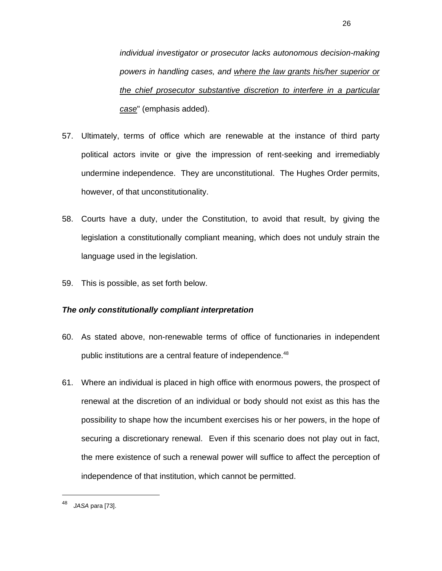*individual investigator or prosecutor lacks autonomous decision-making powers in handling cases, and where the law grants his/her superior or the chief prosecutor substantive discretion to interfere in a particular case*" (emphasis added).

- 57. Ultimately, terms of office which are renewable at the instance of third party political actors invite or give the impression of rent-seeking and irremediably undermine independence. They are unconstitutional. The Hughes Order permits, however, of that unconstitutionality.
- 58. Courts have a duty, under the Constitution, to avoid that result, by giving the legislation a constitutionally compliant meaning, which does not unduly strain the language used in the legislation.
- 59. This is possible, as set forth below.

### *The only constitutionally compliant interpretation*

- 60. As stated above, non-renewable terms of office of functionaries in independent public institutions are a central feature of independence.<sup>48</sup>
- 61. Where an individual is placed in high office with enormous powers, the prospect of renewal at the discretion of an individual or body should not exist as this has the possibility to shape how the incumbent exercises his or her powers, in the hope of securing a discretionary renewal. Even if this scenario does not play out in fact, the mere existence of such a renewal power will suffice to affect the perception of independence of that institution, which cannot be permitted.

<sup>48</sup> *JASA* para [73].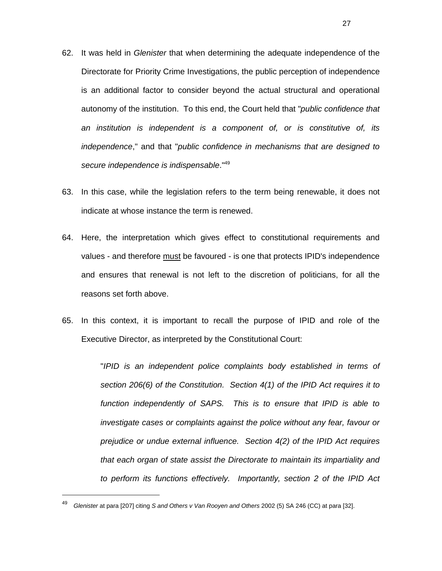- 62. It was held in *Glenister* that when determining the adequate independence of the Directorate for Priority Crime Investigations, the public perception of independence is an additional factor to consider beyond the actual structural and operational autonomy of the institution. To this end, the Court held that "*public confidence that an institution is independent is a component of, or is constitutive of, its independence*," and that "*public confidence in mechanisms that are designed to secure independence is indispensable*."49
- 63. In this case, while the legislation refers to the term being renewable, it does not indicate at whose instance the term is renewed.
- 64. Here, the interpretation which gives effect to constitutional requirements and values - and therefore must be favoured - is one that protects IPID's independence and ensures that renewal is not left to the discretion of politicians, for all the reasons set forth above.
- 65. In this context, it is important to recall the purpose of IPID and role of the Executive Director, as interpreted by the Constitutional Court:

"*IPID is an independent police complaints body established in terms of section 206(6) of the Constitution. Section 4(1) of the IPID Act requires it to function independently of SAPS. This is to ensure that IPID is able to investigate cases or complaints against the police without any fear, favour or prejudice or undue external influence. Section 4(2) of the IPID Act requires that each organ of state assist the Directorate to maintain its impartiality and to perform its functions effectively. Importantly, section 2 of the IPID Act* 

<sup>49</sup> *Glenister* at para [207] citing *S and Others v Van Rooyen and Others* 2002 (5) SA 246 (CC) at para [32].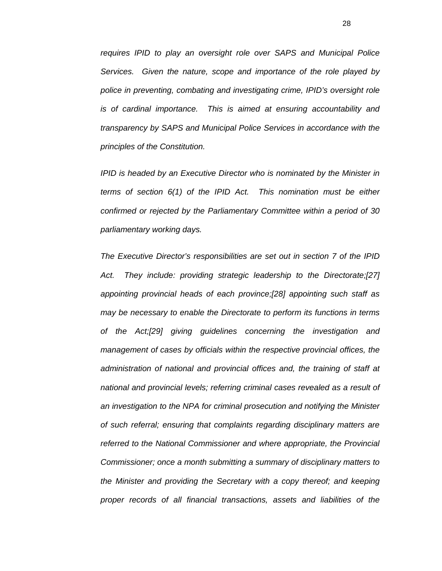*requires IPID to play an oversight role over SAPS and Municipal Police Services. Given the nature, scope and importance of the role played by police in preventing, combating and investigating crime, IPID's oversight role is of cardinal importance. This is aimed at ensuring accountability and transparency by SAPS and Municipal Police Services in accordance with the principles of the Constitution.* 

*IPID is headed by an Executive Director who is nominated by the Minister in terms of section 6(1) of the IPID Act. This nomination must be either confirmed or rejected by the Parliamentary Committee within a period of 30 parliamentary working days.* 

*The Executive Director's responsibilities are set out in section 7 of the IPID Act. They include: providing strategic leadership to the Directorate;[27] appointing provincial heads of each province;[28] appointing such staff as may be necessary to enable the Directorate to perform its functions in terms of the Act;[29] giving guidelines concerning the investigation and management of cases by officials within the respective provincial offices, the administration of national and provincial offices and, the training of staff at national and provincial levels; referring criminal cases revealed as a result of an investigation to the NPA for criminal prosecution and notifying the Minister of such referral; ensuring that complaints regarding disciplinary matters are referred to the National Commissioner and where appropriate, the Provincial Commissioner; once a month submitting a summary of disciplinary matters to the Minister and providing the Secretary with a copy thereof; and keeping proper records of all financial transactions, assets and liabilities of the*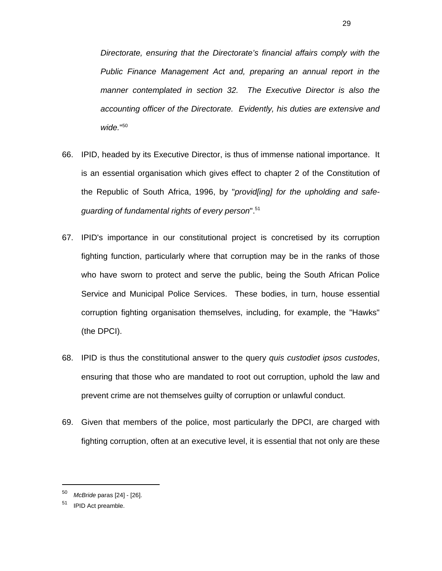*Directorate, ensuring that the Directorate's financial affairs comply with the Public Finance Management Act and, preparing an annual report in the manner contemplated in section 32. The Executive Director is also the accounting officer of the Directorate. Evidently, his duties are extensive and wide.*" 50

- 66. IPID, headed by its Executive Director, is thus of immense national importance. It is an essential organisation which gives effect to chapter 2 of the Constitution of the Republic of South Africa, 1996, by "*provid[ing] for the upholding and safeguarding of fundamental rights of every person*".51
- 67. IPID's importance in our constitutional project is concretised by its corruption fighting function, particularly where that corruption may be in the ranks of those who have sworn to protect and serve the public, being the South African Police Service and Municipal Police Services. These bodies, in turn, house essential corruption fighting organisation themselves, including, for example, the "Hawks" (the DPCI).
- 68. IPID is thus the constitutional answer to the query *quis custodiet ipsos custodes*, ensuring that those who are mandated to root out corruption, uphold the law and prevent crime are not themselves guilty of corruption or unlawful conduct.
- 69. Given that members of the police, most particularly the DPCI, are charged with fighting corruption, often at an executive level, it is essential that not only are these

<sup>50</sup> *McBride* paras [24] - [26].

<sup>&</sup>lt;sup>51</sup> IPID Act preamble.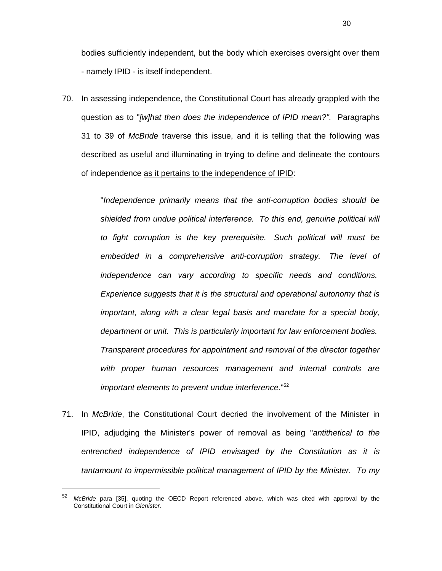bodies sufficiently independent, but the body which exercises oversight over them - namely IPID - is itself independent.

70. In assessing independence, the Constitutional Court has already grappled with the question as to "*[w]hat then does the independence of IPID mean?".* Paragraphs 31 to 39 of *McBride* traverse this issue, and it is telling that the following was described as useful and illuminating in trying to define and delineate the contours of independence as it pertains to the independence of IPID:

> "*Independence primarily means that the anti-corruption bodies should be shielded from undue political interference. To this end, genuine political will to fight corruption is the key prerequisite. Such political will must be embedded in a comprehensive anti-corruption strategy. The level of independence can vary according to specific needs and conditions. Experience suggests that it is the structural and operational autonomy that is important, along with a clear legal basis and mandate for a special body, department or unit. This is particularly important for law enforcement bodies. Transparent procedures for appointment and removal of the director together with proper human resources management and internal controls are important elements to prevent undue interference*."52

71. In *McBride*, the Constitutional Court decried the involvement of the Minister in IPID, adjudging the Minister's power of removal as being "*antithetical to the entrenched independence of IPID envisaged by the Constitution as it is tantamount to impermissible political management of IPID by the Minister. To my* 

<sup>52</sup> *McBride* para [35], quoting the OECD Report referenced above, which was cited with approval by the Constitutional Court in *Glenister.*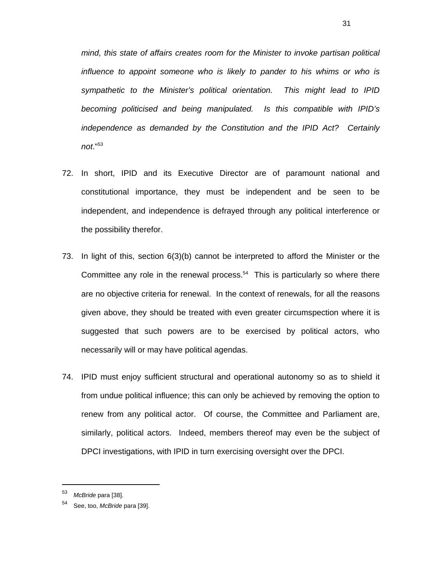*mind, this state of affairs creates room for the Minister to invoke partisan political influence to appoint someone who is likely to pander to his whims or who is sympathetic to the Minister's political orientation. This might lead to IPID becoming politicised and being manipulated. Is this compatible with IPID's independence as demanded by the Constitution and the IPID Act? Certainly not*."53

- 72. In short, IPID and its Executive Director are of paramount national and constitutional importance, they must be independent and be seen to be independent, and independence is defrayed through any political interference or the possibility therefor.
- 73. In light of this, section 6(3)(b) cannot be interpreted to afford the Minister or the Committee any role in the renewal process.<sup>54</sup> This is particularly so where there are no objective criteria for renewal. In the context of renewals, for all the reasons given above, they should be treated with even greater circumspection where it is suggested that such powers are to be exercised by political actors, who necessarily will or may have political agendas.
- 74. IPID must enjoy sufficient structural and operational autonomy so as to shield it from undue political influence; this can only be achieved by removing the option to renew from any political actor. Of course, the Committee and Parliament are, similarly, political actors. Indeed, members thereof may even be the subject of DPCI investigations, with IPID in turn exercising oversight over the DPCI.

 $\overline{a}$ 

31

<sup>53</sup> *McBride* para [38].

See, too, *McBride* para [39].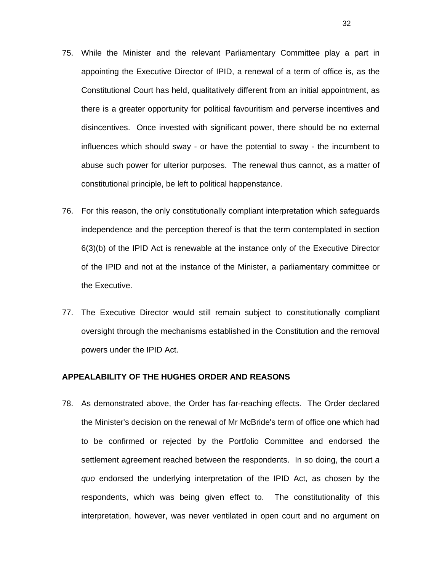- 75. While the Minister and the relevant Parliamentary Committee play a part in appointing the Executive Director of IPID, a renewal of a term of office is, as the Constitutional Court has held, qualitatively different from an initial appointment, as there is a greater opportunity for political favouritism and perverse incentives and disincentives. Once invested with significant power, there should be no external influences which should sway - or have the potential to sway - the incumbent to abuse such power for ulterior purposes. The renewal thus cannot, as a matter of constitutional principle, be left to political happenstance.
- 76. For this reason, the only constitutionally compliant interpretation which safeguards independence and the perception thereof is that the term contemplated in section 6(3)(b) of the IPID Act is renewable at the instance only of the Executive Director of the IPID and not at the instance of the Minister, a parliamentary committee or the Executive.
- 77. The Executive Director would still remain subject to constitutionally compliant oversight through the mechanisms established in the Constitution and the removal powers under the IPID Act.

#### **APPEALABILITY OF THE HUGHES ORDER AND REASONS**

78. As demonstrated above, the Order has far-reaching effects. The Order declared the Minister's decision on the renewal of Mr McBride's term of office one which had to be confirmed or rejected by the Portfolio Committee and endorsed the settlement agreement reached between the respondents. In so doing, the court *a quo* endorsed the underlying interpretation of the IPID Act, as chosen by the respondents, which was being given effect to. The constitutionality of this interpretation, however, was never ventilated in open court and no argument on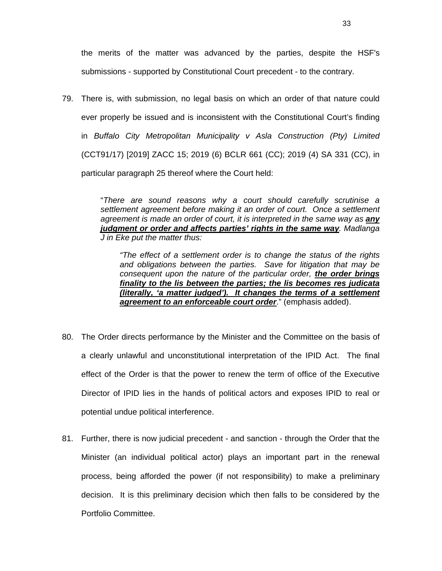the merits of the matter was advanced by the parties, despite the HSF's submissions - supported by Constitutional Court precedent - to the contrary.

79. There is, with submission, no legal basis on which an order of that nature could ever properly be issued and is inconsistent with the Constitutional Court's finding in *Buffalo City Metropolitan Municipality v Asla Construction (Pty) Limited* (CCT91/17) [2019] ZACC 15; 2019 (6) BCLR 661 (CC); 2019 (4) SA 331 (CC), in particular paragraph 25 thereof where the Court held:

> "*There are sound reasons why a court should carefully scrutinise a settlement agreement before making it an order of court. Once a settlement agreement is made an order of court, it is interpreted in the same way as any judgment or order and affects parties' rights in the same way. Madlanga J in Eke put the matter thus:*

*"The effect of a settlement order is to change the status of the rights and obligations between the parties. Save for litigation that may be consequent upon the nature of the particular order, the order brings finality to the lis between the parties; the lis becomes res judicata (literally, 'a matter judged'). It changes the terms of a settlement agreement to an enforceable court order*." (emphasis added).

- 80. The Order directs performance by the Minister and the Committee on the basis of a clearly unlawful and unconstitutional interpretation of the IPID Act. The final effect of the Order is that the power to renew the term of office of the Executive Director of IPID lies in the hands of political actors and exposes IPID to real or potential undue political interference.
- 81. Further, there is now judicial precedent and sanction through the Order that the Minister (an individual political actor) plays an important part in the renewal process, being afforded the power (if not responsibility) to make a preliminary decision. It is this preliminary decision which then falls to be considered by the Portfolio Committee.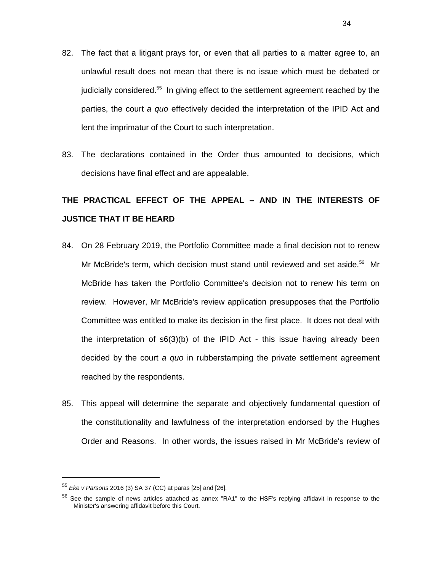- 82. The fact that a litigant prays for, or even that all parties to a matter agree to, an unlawful result does not mean that there is no issue which must be debated or judicially considered.55 In giving effect to the settlement agreement reached by the parties, the court *a quo* effectively decided the interpretation of the IPID Act and lent the imprimatur of the Court to such interpretation.
- 83. The declarations contained in the Order thus amounted to decisions, which decisions have final effect and are appealable.

# **THE PRACTICAL EFFECT OF THE APPEAL – AND IN THE INTERESTS OF JUSTICE THAT IT BE HEARD**

- 84. On 28 February 2019, the Portfolio Committee made a final decision not to renew Mr McBride's term, which decision must stand until reviewed and set aside.<sup>56</sup> Mr McBride has taken the Portfolio Committee's decision not to renew his term on review. However, Mr McBride's review application presupposes that the Portfolio Committee was entitled to make its decision in the first place. It does not deal with the interpretation of s6(3)(b) of the IPID Act - this issue having already been decided by the court *a quo* in rubberstamping the private settlement agreement reached by the respondents.
- 85. This appeal will determine the separate and objectively fundamental question of the constitutionality and lawfulness of the interpretation endorsed by the Hughes Order and Reasons. In other words, the issues raised in Mr McBride's review of

<sup>55</sup> *Eke v Parsons* 2016 (3) SA 37 (CC) at paras [25] and [26].

<sup>&</sup>lt;sup>56</sup> See the sample of news articles attached as annex "RA1" to the HSF's replying affidavit in response to the Minister's answering affidavit before this Court.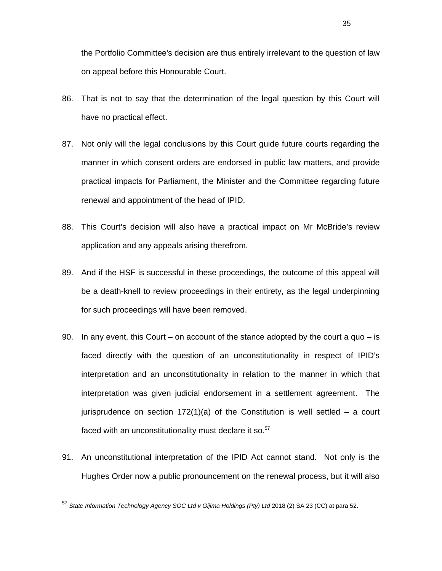- 86. That is not to say that the determination of the legal question by this Court will have no practical effect.
- 87. Not only will the legal conclusions by this Court guide future courts regarding the manner in which consent orders are endorsed in public law matters, and provide practical impacts for Parliament, the Minister and the Committee regarding future renewal and appointment of the head of IPID.
- 88. This Court's decision will also have a practical impact on Mr McBride's review application and any appeals arising therefrom.
- 89. And if the HSF is successful in these proceedings, the outcome of this appeal will be a death-knell to review proceedings in their entirety, as the legal underpinning for such proceedings will have been removed.
- 90. In any event, this Court on account of the stance adopted by the court a quo is faced directly with the question of an unconstitutionality in respect of IPID's interpretation and an unconstitutionality in relation to the manner in which that interpretation was given judicial endorsement in a settlement agreement. The jurisprudence on section  $172(1)(a)$  of the Constitution is well settled – a court faced with an unconstitutionality must declare it so.<sup>57</sup>
- 91. An unconstitutional interpretation of the IPID Act cannot stand. Not only is the Hughes Order now a public pronouncement on the renewal process, but it will also

<sup>57</sup> *State Information Technology Agency SOC Ltd v Gijima Holdings (Pty) Ltd* 2018 (2) SA 23 (CC) at para 52.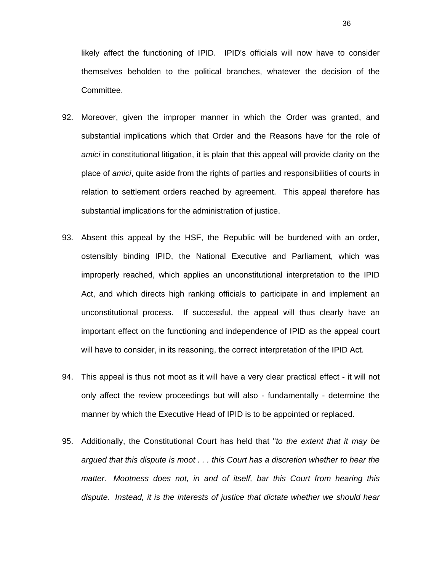likely affect the functioning of IPID. IPID's officials will now have to consider themselves beholden to the political branches, whatever the decision of the Committee.

- 92. Moreover, given the improper manner in which the Order was granted, and substantial implications which that Order and the Reasons have for the role of *amici* in constitutional litigation, it is plain that this appeal will provide clarity on the place of *amici*, quite aside from the rights of parties and responsibilities of courts in relation to settlement orders reached by agreement. This appeal therefore has substantial implications for the administration of justice.
- 93. Absent this appeal by the HSF, the Republic will be burdened with an order, ostensibly binding IPID, the National Executive and Parliament, which was improperly reached, which applies an unconstitutional interpretation to the IPID Act, and which directs high ranking officials to participate in and implement an unconstitutional process. If successful, the appeal will thus clearly have an important effect on the functioning and independence of IPID as the appeal court will have to consider, in its reasoning, the correct interpretation of the IPID Act.
- 94. This appeal is thus not moot as it will have a very clear practical effect it will not only affect the review proceedings but will also - fundamentally - determine the manner by which the Executive Head of IPID is to be appointed or replaced.
- 95. Additionally, the Constitutional Court has held that "*to the extent that it may be argued that this dispute is moot . . . this Court has a discretion whether to hear the matter. Mootness does not, in and of itself, bar this Court from hearing this dispute. Instead, it is the interests of justice that dictate whether we should hear*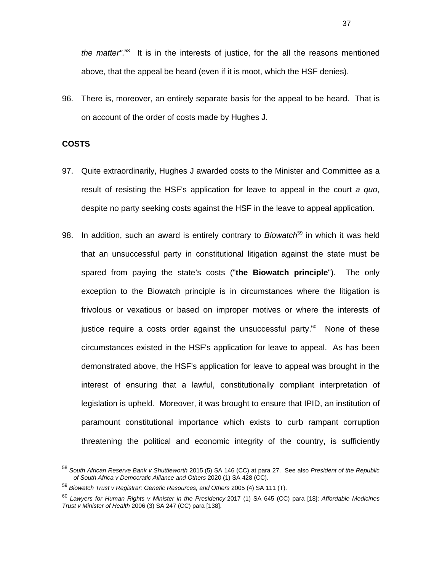*the matter".*58 It is in the interests of justice, for the all the reasons mentioned above, that the appeal be heard (even if it is moot, which the HSF denies).

96. There is, moreover, an entirely separate basis for the appeal to be heard. That is on account of the order of costs made by Hughes J.

#### **COSTS**

- 97. Quite extraordinarily, Hughes J awarded costs to the Minister and Committee as a result of resisting the HSF's application for leave to appeal in the court *a quo*, despite no party seeking costs against the HSF in the leave to appeal application.
- 98. In addition, such an award is entirely contrary to *Biowatch*59 in which it was held that an unsuccessful party in constitutional litigation against the state must be spared from paying the state's costs ("**the Biowatch principle**"). The only exception to the Biowatch principle is in circumstances where the litigation is frivolous or vexatious or based on improper motives or where the interests of justice require a costs order against the unsuccessful party.<sup>60</sup> None of these circumstances existed in the HSF's application for leave to appeal. As has been demonstrated above, the HSF's application for leave to appeal was brought in the interest of ensuring that a lawful, constitutionally compliant interpretation of legislation is upheld. Moreover, it was brought to ensure that IPID, an institution of paramount constitutional importance which exists to curb rampant corruption threatening the political and economic integrity of the country, is sufficiently

<sup>58</sup> *South African Reserve Bank v Shuttleworth* 2015 (5) SA 146 (CC) at para 27. See also *President of the Republic of South Africa v Democratic Alliance and Others* 2020 (1) SA 428 (CC).

<sup>59</sup> *Biowatch Trust v Registrar: Genetic Resources, and Others* 2005 (4) SA 111 (T).

<sup>60</sup> *Lawyers for Human Rights v Minister in the Presidency* 2017 (1) SA 645 (CC) para [18]; *Affordable Medicines Trust v Minister of Health* 2006 (3) SA 247 (CC) para [138].